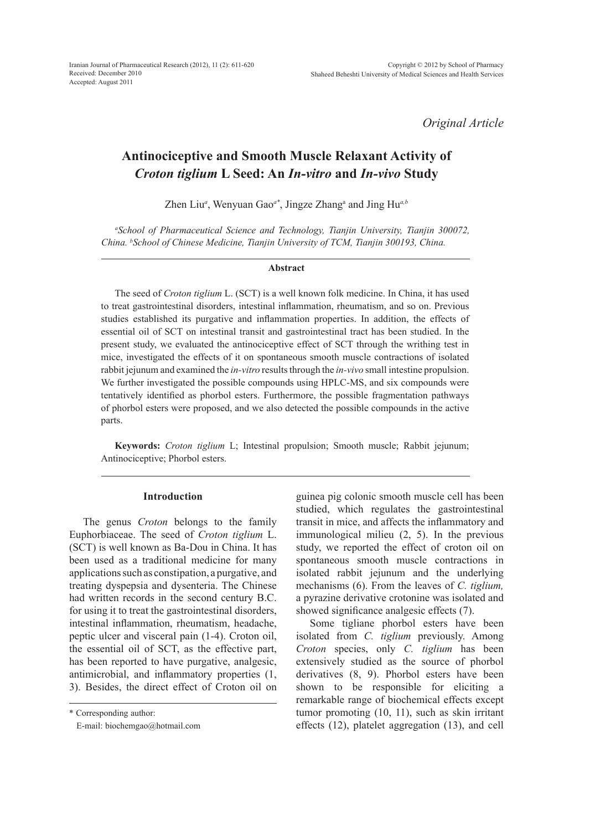*Original Article*

# **Antinociceptive and Smooth Muscle Relaxant Activity of** *Croton tiglium* **L Seed: An** *In-vitro* **and** *In-vivo* **Study**

Zhen Liu<sup>*a*</sup>, Wenyuan Gao<sup>*a*\*</sup>, Jingze Zhang<sup>a</sup> and Jing Hu<sup>*a,b*</sup>

*a School of Pharmaceutical Science and Technology, Tianjin University, Tianjin 300072, China. b School of Chinese Medicine, Tianjin University of TCM, Tianjin 300193, China.*

#### **Abstract**

The seed of *Croton tiglium* L. (SCT) is a well known folk medicine. In China, it has used to treat gastrointestinal disorders, intestinal inflammation, rheumatism, and so on. Previous studies established its purgative and inflammation properties. In addition, the effects of essential oil of SCT on intestinal transit and gastrointestinal tract has been studied. In the present study, we evaluated the antinociceptive effect of SCT through the writhing test in mice, investigated the effects of it on spontaneous smooth muscle contractions of isolated rabbit jejunum and examined the *in-vitro* results through the *in-vivo* small intestine propulsion. We further investigated the possible compounds using HPLC-MS, and six compounds were tentatively identified as phorbol esters. Furthermore, the possible fragmentation pathways of phorbol esters were proposed, and we also detected the possible compounds in the active parts.

**Keywords:** *Croton tiglium* L; Intestinal propulsion; Smooth muscle; Rabbit jejunum; Antinociceptive; Phorbol esters.

## **Introduction**

The genus *Croton* belongs to the family Euphorbiaceae. The seed of *Croton tiglium* L. (SCT) is well known as Ba-Dou in China. It has been used as a traditional medicine for many applications such as constipation, a purgative, and treating dyspepsia and dysenteria. The Chinese had written records in the second century B.C. for using it to treat the gastrointestinal disorders, intestinal inflammation, rheumatism, headache, peptic ulcer and visceral pain (1-4). Croton oil, the essential oil of SCT, as the effective part, has been reported to have purgative, analgesic, antimicrobial, and inflammatory properties (1, 3). Besides, the direct effect of Croton oil on

\* Corresponding author:

E-mail: biochemgao@hotmail.com

guinea pig colonic smooth muscle cell has been studied, which regulates the gastrointestinal transit in mice, and affects the inflammatory and immunological milieu (2, 5). In the previous study, we reported the effect of croton oil on spontaneous smooth muscle contractions in isolated rabbit jejunum and the underlying mechanisms (6). From the leaves of *C. tiglium,* a pyrazine derivative crotonine was isolated and showed significance analgesic effects (7).

Some tigliane phorbol esters have been isolated from *C. tiglium* previously. Among *Croton* species, only *C. tiglium* has been extensively studied as the source of phorbol derivatives (8, 9). Phorbol esters have been shown to be responsible for eliciting a remarkable range of biochemical effects except tumor promoting (10, 11), such as skin irritant effects (12), platelet aggregation (13), and cell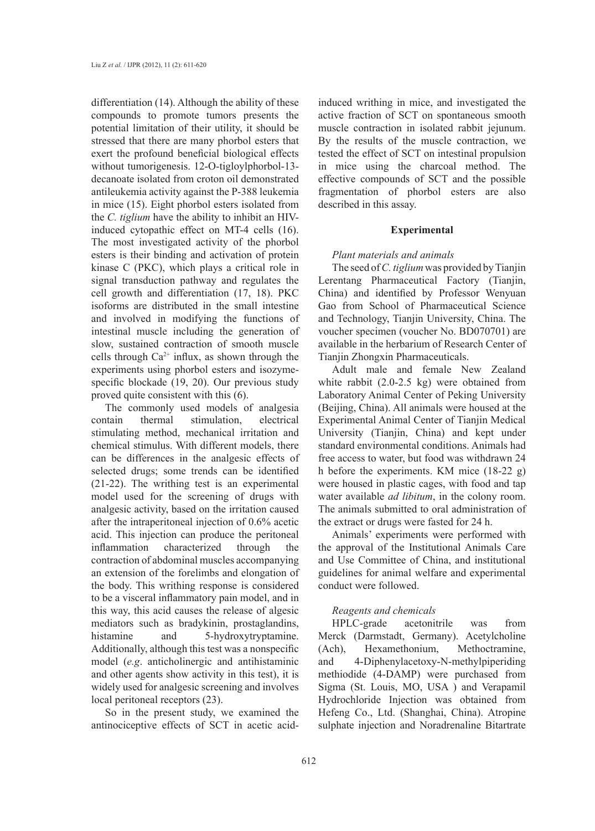differentiation (14). Although the ability of these compounds to promote tumors presents the potential limitation of their utility, it should be stressed that there are many phorbol esters that exert the profound beneficial biological effects without tumorigenesis. 12-O-tigloylphorbol-13 decanoate isolated from croton oil demonstrated antileukemia activity against the P-388 leukemia in mice (15). Eight phorbol esters isolated from the *C. tiglium* have the ability to inhibit an HIVinduced cytopathic effect on MT-4 cells (16). The most investigated activity of the phorbol esters is their binding and activation of protein kinase C (PKC), which plays a critical role in signal transduction pathway and regulates the cell growth and differentiation (17, 18). PKC isoforms are distributed in the small intestine and involved in modifying the functions of intestinal muscle including the generation of slow, sustained contraction of smooth muscle cells through  $Ca^{2+}$  influx, as shown through the experiments using phorbol esters and isozymespecific blockade (19, 20). Our previous study proved quite consistent with this (6).

The commonly used models of analgesia contain thermal stimulation, electrical stimulating method, mechanical irritation and chemical stimulus. With different models, there can be differences in the analgesic effects of selected drugs; some trends can be identified (21-22). The writhing test is an experimental model used for the screening of drugs with analgesic activity, based on the irritation caused after the intraperitoneal injection of 0.6% acetic acid. This injection can produce the peritoneal inflammation characterized through the contraction of abdominal muscles accompanying an extension of the forelimbs and elongation of the body. This writhing response is considered to be a visceral inflammatory pain model, and in this way, this acid causes the release of algesic mediators such as bradykinin, prostaglandins, histamine and 5-hydroxytryptamine. Additionally, although this test was a nonspecific model (*e.g*. anticholinergic and antihistaminic and other agents show activity in this test), it is widely used for analgesic screening and involves local peritoneal receptors (23).

So in the present study, we examined the antinociceptive effects of SCT in acetic acidinduced writhing in mice, and investigated the active fraction of SCT on spontaneous smooth muscle contraction in isolated rabbit jejunum. By the results of the muscle contraction, we tested the effect of SCT on intestinal propulsion in mice using the charcoal method. The effective compounds of SCT and the possible fragmentation of phorbol esters are also described in this assay.

### **Experimental**

## *Plant materials and animals*

The seed of *C. tiglium* was provided by Tianjin Lerentang Pharmaceutical Factory (Tianjin, China) and identified by Professor Wenyuan Gao from School of Pharmaceutical Science and Technology, Tianjin University, China. The voucher specimen (voucher No. BD070701) are available in the herbarium of Research Center of Tianjin Zhongxin Pharmaceuticals.

Adult male and female New Zealand white rabbit (2.0-2.5 kg) were obtained from Laboratory Animal Center of Peking University (Beijing, China). All animals were housed at the Experimental Animal Center of Tianjin Medical University (Tianjin, China) and kept under standard environmental conditions. Animals had free access to water, but food was withdrawn 24 h before the experiments. KM mice (18-22 g) were housed in plastic cages, with food and tap water available *ad libitum*, in the colony room. The animals submitted to oral administration of the extract or drugs were fasted for 24 h.

Animals' experiments were performed with the approval of the Institutional Animals Care and Use Committee of China, and institutional guidelines for animal welfare and experimental conduct were followed.

# *Reagents and chemicals*

HPLC-grade acetonitrile was from Merck (Darmstadt, Germany). Acetylcholine (Ach), Hexamethonium, Methoctramine, and 4-Diphenylacetoxy-N-methylpiperiding methiodide (4-DAMP) were purchased from Sigma (St. Louis, MO, USA ) and Verapamil Hydrochloride Injection was obtained from Hefeng Co., Ltd. (Shanghai, China). Atropine sulphate injection and Noradrenaline Bitartrate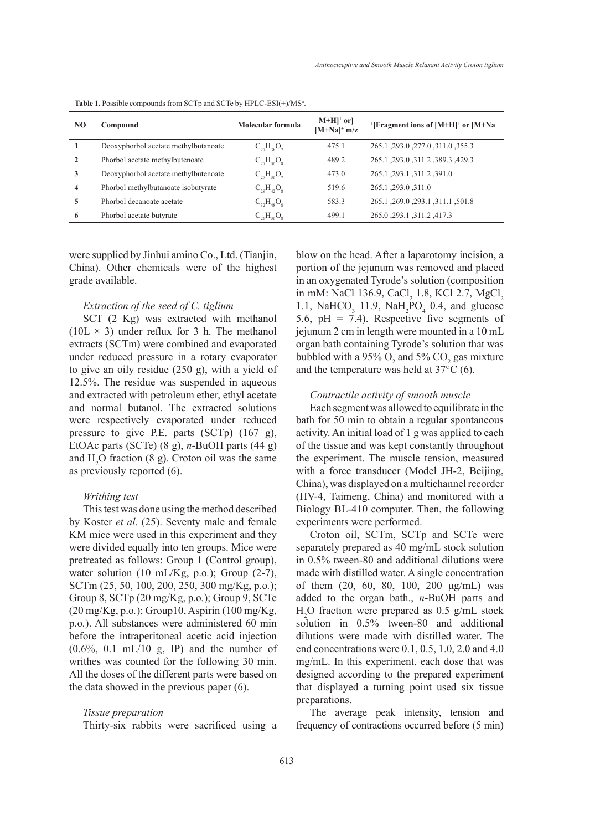| NO.          | Compound                             | Molecular formula | $M+H$ <sup>+</sup> or<br>$[M+Na]^+$ m/z | $^+$ [Fragment ions of [M+H] <sup>+</sup> or [M+Na] |
|--------------|--------------------------------------|-------------------|-----------------------------------------|-----------------------------------------------------|
|              | Deoxyphorbol acetate methylbutanoate | $C_{27}H_{38}O_7$ | 475.1                                   | 265.1, 293.0, 277.0, 311.0, 355.3                   |
| $\mathbf{2}$ | Phorbol acetate methylbutenoate      | $C_{27}H_{36}O_8$ | 489.2                                   | 265.1, 293.0, 311.2, 389.3, 429.3                   |
| 3            | Deoxyphorbol acetate methylbutenoate | $C_{27}H_{36}O_7$ | 473.0                                   | 265.1, 293.1, 311.2, 391.0                          |
| 4            | Phorbol methylbutanoate isobutyrate  | $C_{29}H_{42}O_8$ | 519.6                                   | 265.1, 293.0, 311.0                                 |
| 5            | Phorbol decanoate acetate            | $C_{32}H_{48}O_8$ | 583.3                                   | 265.1, 269.0, 293.1, 311.1, 501.8                   |
| 6            | Phorbol acetate butyrate             | $C_{26}H_{36}O_8$ | 499.1                                   | 265.0, 293.1, 311.2, 417.3                          |

Table 1. Possible compounds from SCTp and SCTe by HPLC-ESI(+)/MS<sup>n</sup>.

were supplied by Jinhui amino Co., Ltd. (Tianjin, China). Other chemicals were of the highest grade available.

### *Extraction of the seed of C. tiglium*

SCT (2 Kg) was extracted with methanol  $(10L \times 3)$  under reflux for 3 h. The methanol extracts (SCTm) were combined and evaporated under reduced pressure in a rotary evaporator to give an oily residue (250 g), with a yield of 12.5%. The residue was suspended in aqueous and extracted with petroleum ether, ethyl acetate and normal butanol. The extracted solutions were respectively evaporated under reduced pressure to give P.E. parts (SCTp) (167 g), EtOAc parts (SCTe) (8 g), *n*-BuOH parts (44 g) and  $H_2O$  fraction (8 g). Croton oil was the same as previously reported (6).

# *Writhing test*

This test was done using the method described by Koster *et al*. (25). Seventy male and female KM mice were used in this experiment and they were divided equally into ten groups. Mice were pretreated as follows: Group 1 (Control group), water solution (10 mL/Kg, p.o*.*); Group (2-7), SCTm (25, 50, 100, 200, 250, 300 mg/Kg, p.o*.*); Group 8, SCTp (20 mg/Kg, p.o*.*); Group 9, SCTe (20 mg/Kg, p.o*.*); Group10, Aspirin (100 mg/Kg, p.o*.*). All substances were administered 60 min before the intraperitoneal acetic acid injection  $(0.6\%, 0.1 \text{ mL}/10 \text{ g}, \text{ IP})$  and the number of writhes was counted for the following 30 min. All the doses of the different parts were based on the data showed in the previous paper (6).

## *Tissue preparation*

Thirty-six rabbits were sacrificed using a

blow on the head. After a laparotomy incision, a portion of the jejunum was removed and placed in an oxygenated Tyrode's solution (composition in mM: NaCl 136.9, CaCl<sub>2</sub> 1.8, KCl 2.7, MgCl<sub>2</sub> 1.1, NaHCO<sub>3</sub> 11.9, NaH<sub>2</sub>PO<sub>4</sub> 0.4, and glucose 5.6,  $pH = 7.4$ ). Respective five segments of jejunum 2 cm in length were mounted in a 10 mL organ bath containing Tyrode's solution that was bubbled with a 95%  $O_2$  and 5%  $CO_2$  gas mixture and the temperature was held at 37°С (6).

## *Contractile activity of smooth muscle*

Each segment was allowed to equilibrate in the bath for 50 min to obtain a regular spontaneous activity. An initial load of 1 g was applied to each of the tissue and was kept constantly throughout the experiment. The muscle tension, measured with a force transducer (Model JH-2, Beijing, China), was displayed on a multichannel recorder (HV-4, Taimeng, China) and monitored with a Biology BL-410 computer. Then, the following experiments were performed.

Croton oil, SCTm, SCTp and SCTe were separately prepared as 40 mg/mL stock solution in 0.5% tween-80 and additional dilutions were made with distilled water. A single concentration of them (20, 60, 80, 100, 200 μg/mL) was added to the organ bath., *n*-BuOH parts and H2 O fraction were prepared as 0.5 g/mL stock solution in 0.5% tween-80 and additional dilutions were made with distilled water. The end concentrations were 0.1, 0.5, 1.0, 2.0 and 4.0 mg/mL. In this experiment, each dose that was designed according to the prepared experiment that displayed a turning point used six tissue preparations.

The average peak intensity, tension and frequency of contractions occurred before (5 min)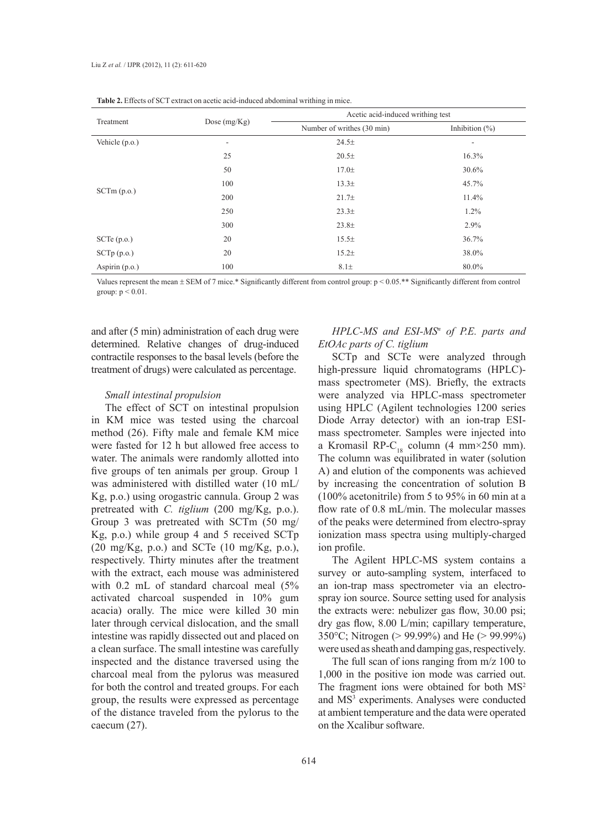|                  | Dose $(mg/Kg)$ | Acetic acid-induced writhing test |                              |  |
|------------------|----------------|-----------------------------------|------------------------------|--|
| Treatment        |                | Number of writhes (30 min)        | Inhibition $(\%)$            |  |
| Vehicle $(p.o.)$ | ۰              | 24.5±                             | $\qquad \qquad \blacksquare$ |  |
|                  | 25             | 20.5±                             | 16.3%                        |  |
|                  | 50             | $17.0\pm$                         | 30.6%                        |  |
|                  | 100            | 13.3 <sub>±</sub>                 | 45.7%                        |  |
| SCTm(p.o.)       | 200            | 21.7 <sub>±</sub>                 | 11.4%                        |  |
|                  | 250            | 23.3 <sup>±</sup>                 | $1.2\%$                      |  |
|                  | 300            | 23.8 <sub>±</sub>                 | 2.9%                         |  |
| SCTe(p.o.)       | 20             | 15.5±                             | 36.7%                        |  |
| SCTp(p.o.)       | 20             | 15.2 <sub>±</sub>                 | 38.0%                        |  |
| Aspirin (p.o.)   | 100            | $8.1\pm$                          | 80.0%                        |  |

**Table 2.** Effects of SCT extract on acetic acid-induced abdominal writhing in mice.

Values represent the mean ± SEM of 7 mice.\* Significantly different from control group: p < 0.05.\*\* Significantly different from control group: p < 0.01.

and after (5 min) administration of each drug were determined. Relative changes of drug-induced contractile responses to the basal levels (before the treatment of drugs) were calculated as percentage.

# *Small intestinal propulsion*

The effect of SCT on intestinal propulsion in KM mice was tested using the charcoal method (26). Fifty male and female KM mice were fasted for 12 h but allowed free access to water. The animals were randomly allotted into five groups of ten animals per group. Group 1 was administered with distilled water (10 mL/ Kg, p.o.) using orogastric cannula. Group 2 was pretreated with *C. tiglium* (200 mg/Kg, p.o.). Group 3 was pretreated with SCTm (50 mg/ Kg, p.o.) while group 4 and 5 received SCTp  $(20 \text{ mg/Kg}, \text{ p.o.})$  and SCTe  $(10 \text{ mg/Kg}, \text{ p.o.})$ , respectively. Thirty minutes after the treatment with the extract, each mouse was administered with 0.2 mL of standard charcoal meal (5% activated charcoal suspended in 10% gum acacia) orally. The mice were killed 30 min later through cervical dislocation, and the small intestine was rapidly dissected out and placed on a clean surface. The small intestine was carefully inspected and the distance traversed using the charcoal meal from the pylorus was measured for both the control and treated groups. For each group, the results were expressed as percentage of the distance traveled from the pylorus to the caecum (27).

# *HPLC-MS and ESI-MSn of P.E. parts and EtOAc parts of C. tiglium*

SCTp and SCTe were analyzed through high-pressure liquid chromatograms (HPLC) mass spectrometer (MS). Briefly, the extracts were analyzed via HPLC-mass spectrometer using HPLC (Agilent technologies 1200 series Diode Array detector) with an ion-trap ESImass spectrometer. Samples were injected into a Kromasil RP-C<sub>18</sub> column (4 mm×250 mm). The column was equilibrated in water (solution A) and elution of the components was achieved by increasing the concentration of solution B (100% acetonitrile) from 5 to 95% in 60 min at a flow rate of 0.8 mL/min. The molecular masses of the peaks were determined from electro-spray ionization mass spectra using multiply-charged ion profile.

The Agilent HPLC-MS system contains a survey or auto-sampling system, interfaced to an ion-trap mass spectrometer via an electrospray ion source. Source setting used for analysis the extracts were: nebulizer gas flow, 30.00 psi; dry gas flow, 8.00 L/min; capillary temperature, 350°C; Nitrogen (> 99.99%) and He (> 99.99%) were used as sheath and damping gas, respectively.

The full scan of ions ranging from m/z 100 to 1,000 in the positive ion mode was carried out. The fragment ions were obtained for both  $MS<sup>2</sup>$ and MS<sup>3</sup> experiments. Analyses were conducted at ambient temperature and the data were operated on the Xcalibur software.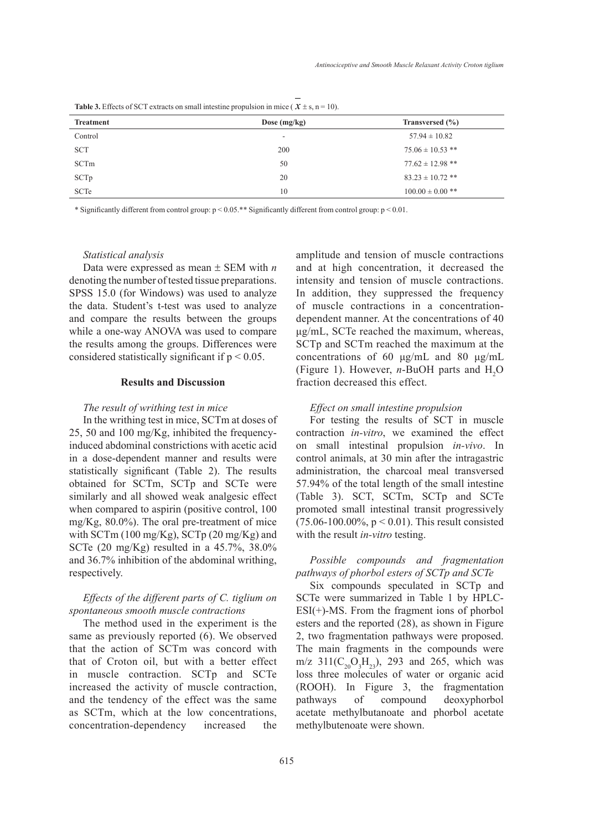| <b>Table 3.</b> Effects of SCT extracts on small intestine propulsion in mice ( $\chi \pm s$ , n = 10). |                |      |  |  |
|---------------------------------------------------------------------------------------------------------|----------------|------|--|--|
| <b>Treatment</b>                                                                                        | Dose $(mg/kg)$ | Tran |  |  |

| <b>Treatment</b> | Dose $(mg/kg)$ | Transversed (%)      |
|------------------|----------------|----------------------|
| Control          | ۰              | $57.94 \pm 10.82$    |
| <b>SCT</b>       | 200            | $75.06 \pm 10.53$ ** |
| SCTm             | 50             | $77.62 \pm 12.98$ ** |
| SCTp             | 20             | $83.23 \pm 10.72$ ** |
| <b>SCTe</b>      | 10             | $100.00 \pm 0.00$ ** |

\* Significantly different from control group: p < 0.05.\*\* Significantly different from control group: p < 0.01.

### *Statistical analysis*

Data were expressed as mean ± SEM with *n* denoting the number of tested tissue preparations. SPSS 15.0 (for Windows) was used to analyze the data. Student's t-test was used to analyze and compare the results between the groups while a one-way ANOVA was used to compare the results among the groups. Differences were considered statistically significant if  $p < 0.05$ .

# **Results and Discussion**

# *The result of writhing test in mice*

In the writhing test in mice, SCTm at doses of 25, 50 and 100 mg/Kg, inhibited the frequencyinduced abdominal constrictions with acetic acid in a dose-dependent manner and results were statistically significant (Table 2). The results obtained for SCTm, SCTp and SCTe were similarly and all showed weak analgesic effect when compared to aspirin (positive control, 100 mg/Kg, 80.0%). The oral pre-treatment of mice with SCTm (100 mg/Kg), SCTp (20 mg/Kg) and SCTe (20 mg/Kg) resulted in a 45.7%, 38.0% and 36.7% inhibition of the abdominal writhing, respectively.

# *Effects of the different parts of C. tiglium on spontaneous smooth muscle contractions*

The method used in the experiment is the same as previously reported (6). We observed that the action of SCTm was concord with that of Croton oil, but with a better effect in muscle contraction. SCTp and SCTe increased the activity of muscle contraction, and the tendency of the effect was the same as SCTm, which at the low concentrations, concentration-dependency increased the amplitude and tension of muscle contractions and at high concentration, it decreased the intensity and tension of muscle contractions. In addition, they suppressed the frequency of muscle contractions in a concentrationdependent manner. At the concentrations of 40 μg/mL, SCTe reached the maximum, whereas, SCTp and SCTm reached the maximum at the concentrations of 60 μg/mL and 80 μg/mL (Figure 1). However, *n*-BuOH parts and  $H_2O$ fraction decreased this effect.

## *Effect on small intestine propulsion*

For testing the results of SCT in muscle contraction *in-vitro*, we examined the effect on small intestinal propulsion *in-vivo*. In control animals, at 30 min after the intragastric administration, the charcoal meal transversed 57.94% of the total length of the small intestine (Table 3). SCT, SCTm, SCTp and SCTe promoted small intestinal transit progressively  $(75.06-100.00\%, p < 0.01)$ . This result consisted with the result *in-vitro* testing.

# *Possible compounds and fragmentation pathways of phorbol esters of SCTp and SCTe*

Six compounds speculated in SCTp and SCTe were summarized in Table 1 by HPLC- $ESI(+)$ -MS. From the fragment ions of phorbol esters and the reported (28), as shown in Figure 2, two fragmentation pathways were proposed. The main fragments in the compounds were m/z  $311(C_{20}O_3H_{23})$ , 293 and 265, which was loss three molecules of water or organic acid (ROOH). In Figure 3, the fragmentation pathways of compound deoxyphorbol acetate methylbutanoate and phorbol acetate methylbutenoate were shown.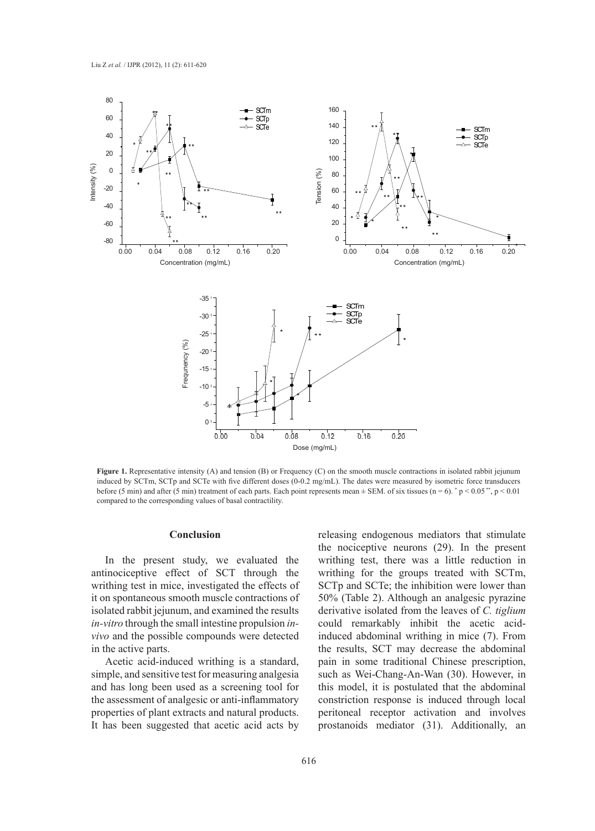

Figure 1. Representative intensity (A) and tension (B) or Frequency (C) on the smooth muscle contractions in isolated rabbit jejunum induced by SCTm, SCTp and SCTe with five different doses (0-0.2 mg/mL). The dates were measured by isometric force transducers before (5 min) and after (5 min) treatment of each parts. Each point represents mean  $\pm$  SEM. of six tissues (n = 6).  $\degree$  p < 0.05 $\degree$ , p < 0.01 compared to the corresponding values of basal contractility.

### **Conclusion**

In the present study, we evaluated the antinociceptive effect of SCT through the writhing test in mice, investigated the effects of it on spontaneous smooth muscle contractions of isolated rabbit jejunum, and examined the results *in-vitro* through the small intestine propulsion *invivo* and the possible compounds were detected in the active parts.

Acetic acid-induced writhing is a standard, simple, and sensitive test for measuring analgesia and has long been used as a screening tool for the assessment of analgesic or anti-inflammatory properties of plant extracts and natural products. It has been suggested that acetic acid acts by

releasing endogenous mediators that stimulate the nociceptive neurons (29). In the present writhing test, there was a little reduction in writhing for the groups treated with SCTm, SCTp and SCTe; the inhibition were lower than 50% (Table 2). Although an analgesic pyrazine derivative isolated from the leaves of *C. tiglium* could remarkably inhibit the acetic acidinduced abdominal writhing in mice (7). From the results, SCT may decrease the abdominal pain in some traditional Chinese prescription, such as Wei-Chang-An-Wan (30). However, in this model, it is postulated that the abdominal constriction response is induced through local peritoneal receptor activation and involves prostanoids mediator (31). Additionally, an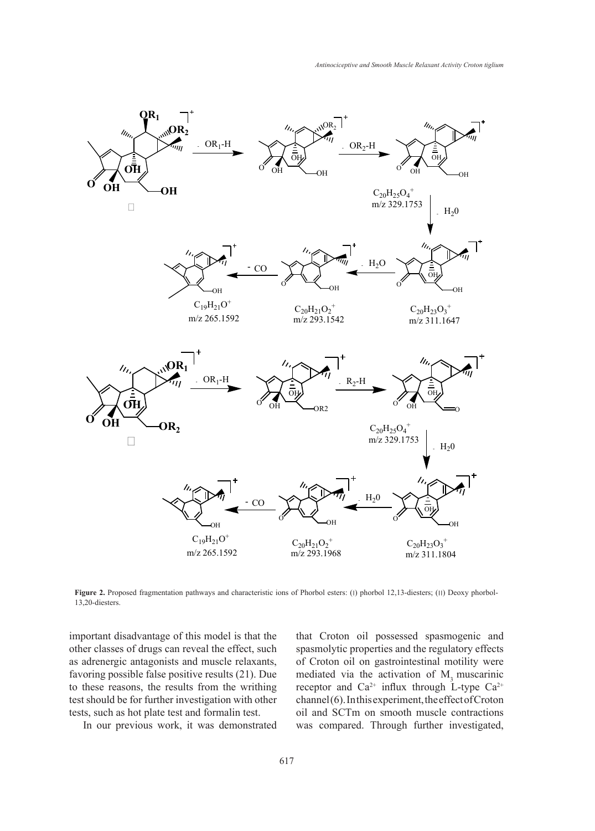

Figure 2. Proposed fragmentation pathways and characteristic ions of Phorbol esters: (1) phorbol 12,13-diesters; (II) Deoxy phorbol-13,20-diesters.

important disadvantage of this model is that the other classes of drugs can reveal the effect, such as adrenergic antagonists and muscle relaxants, favoring possible false positive results (21). Due to these reasons, the results from the writhing test should be for further investigation with other tests, such as hot plate test and formalin test.

In our previous work, it was demonstrated

that Croton oil possessed spasmogenic and spasmolytic properties and the regulatory effects of Croton oil on gastrointestinal motility were mediated via the activation of M<sub>3</sub> muscarinic receptor and  $Ca^{2+}$  influx through L-type  $Ca^{2+}$ channel (6). In this experiment, the effect of Croton oil and SCTm on smooth muscle contractions was compared. Through further investigated,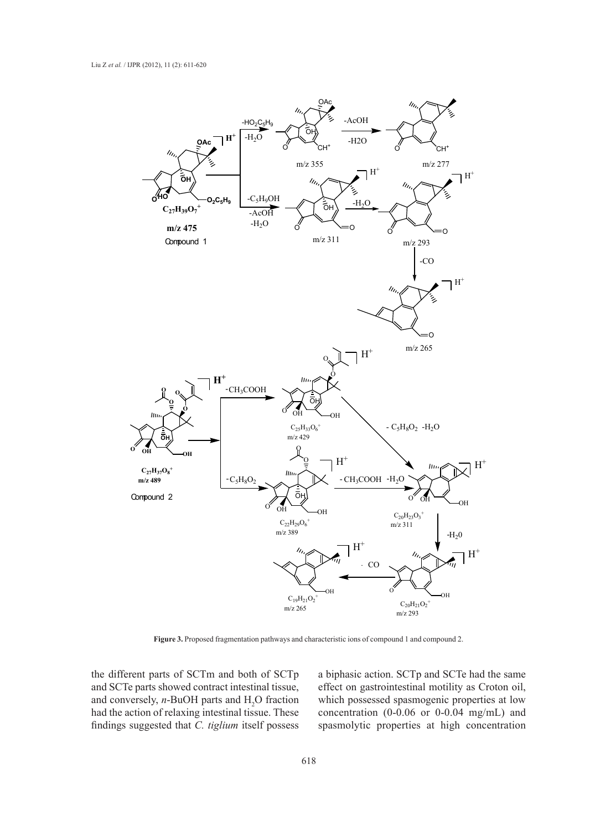

**Figure 3.** Proposed fragmentation pathways and characteristic ions of compound 1 and compound 2.

the different parts of SCTm and both of SCTp and SCTe parts showed contract intestinal tissue, and conversely,  $n$ -BuOH parts and  $H_2O$  fraction had the action of relaxing intestinal tissue. These findings suggested that *C. tiglium* itself possess

a biphasic action. SCTp and SCTe had the same effect on gastrointestinal motility as Croton oil, which possessed spasmogenic properties at low concentration (0-0.06 or 0-0.04 mg/mL) and spasmolytic properties at high concentration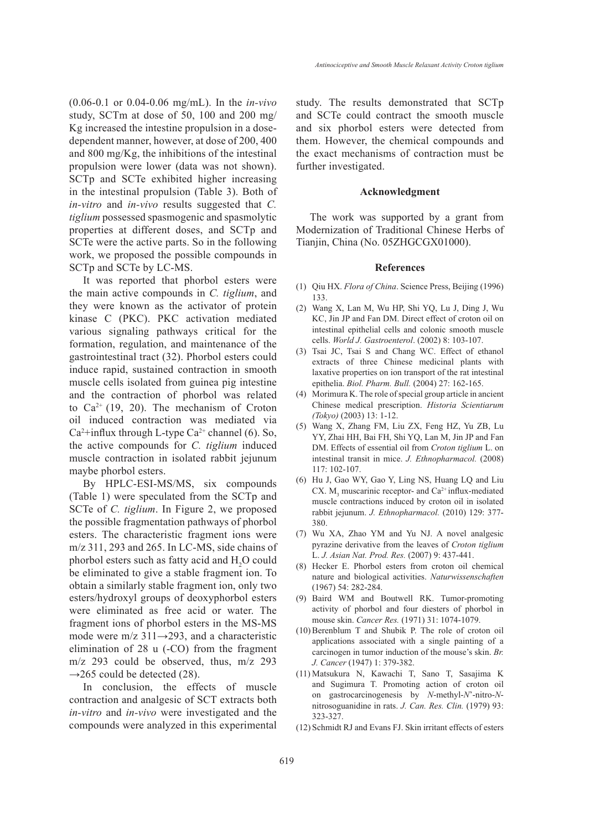(0.06-0.1 or 0.04-0.06 mg/mL). In the *in-vivo* study, SCTm at dose of 50, 100 and 200 mg/ Kg increased the intestine propulsion in a dosedependent manner, however, at dose of 200, 400 and 800 mg/Kg, the inhibitions of the intestinal propulsion were lower (data was not shown). SCTp and SCTe exhibited higher increasing in the intestinal propulsion (Table 3). Both of *in-vitro* and *in-vivo* results suggested that *C. tiglium* possessed spasmogenic and spasmolytic properties at different doses, and SCTp and SCTe were the active parts. So in the following work, we proposed the possible compounds in SCTp and SCTe by LC-MS.

It was reported that phorbol esters were the main active compounds in *C. tiglium*, and they were known as the activator of protein kinase C (PKC). PKC activation mediated various signaling pathways critical for the formation, regulation, and maintenance of the gastrointestinal tract (32). Phorbol esters could induce rapid, sustained contraction in smooth muscle cells isolated from guinea pig intestine and the contraction of phorbol was related to  $Ca^{2+}$  (19, 20). The mechanism of Croton oil induced contraction was mediated via  $Ca<sup>2</sup>$ +influx through L-type  $Ca<sup>2+</sup>$  channel (6). So, the active compounds for *C. tiglium* induced muscle contraction in isolated rabbit jejunum maybe phorbol esters.

By HPLC-ESI-MS/MS, six compounds (Table 1) were speculated from the SCTp and SCTe of *C. tiglium*. In Figure 2, we proposed the possible fragmentation pathways of phorbol esters. The characteristic fragment ions were m/z 311, 293 and 265. In LC-MS, side chains of phorbol esters such as fatty acid and  $H_2O$  could be eliminated to give a stable fragment ion. To obtain a similarly stable fragment ion, only two esters/hydroxyl groups of deoxyphorbol esters were eliminated as free acid or water. The fragment ions of phorbol esters in the MS-MS mode were m/z  $311\rightarrow 293$ , and a characteristic elimination of 28 u (-CO) from the fragment m/z 293 could be observed, thus, m/z 293  $\rightarrow$ 265 could be detected (28).

In conclusion, the effects of muscle contraction and analgesic of SCT extracts both *in-vitro* and *in-vivo* were investigated and the compounds were analyzed in this experimental study. The results demonstrated that SCTp and SCTe could contract the smooth muscle and six phorbol esters were detected from them. However, the chemical compounds and the exact mechanisms of contraction must be further investigated.

#### **Acknowledgment**

The work was supported by a grant from Modernization of Traditional Chinese Herbs of Tianjin, China (No. 05ZHGCGX01000).

#### **References**

- (1) Qiu HX. *Flora of China*. Science Press, Beijing (1996) 133.
- Wang X, Lan M, Wu HP, Shi YQ, Lu J, Ding J, Wu (2) KC, Jin JP and Fan DM. Direct effect of croton oil on intestinal epithelial cells and colonic smooth muscle cells. *World J. Gastroenterol*. (2002) 8: 103-107.
- Tsai JC, Tsai S and Chang WC. Effect of ethanol (3) extracts of three Chinese medicinal plants with laxative properties on ion transport of the rat intestinal epithelia. *Biol. Pharm. Bull.* (2004) 27: 162-165.
- Morimura K. The role of special group article in ancient (4) Chinese medical prescription. *Historia Scientiarum (Tokyo)* (2003) 13: 1-12.
- Wang X, Zhang FM, Liu ZX, Feng HZ, Yu ZB, Lu (5) YY, Zhai HH, Bai FH, Shi YQ, Lan M, Jin JP and Fan DM. Effects of essential oil from *Croton tiglium* L. on intestinal transit in mice. *J. Ethnopharmacol.* (2008) 117: 102-107.
- Hu J, Gao WY, Gao Y, Ling NS, Huang LQ and Liu (6) CX.  $M_3$  muscarinic receptor- and Ca<sup>2+</sup> influx-mediated muscle contractions induced by croton oil in isolated rabbit jejunum. *J. Ethnopharmacol.* (2010) 129: 377- 380.
- Wu XA, Zhao YM and Yu NJ. A novel analgesic (7) pyrazine derivative from the leaves of *Croton tiglium* L. *J. Asian Nat. Prod. Res.* (2007) 9: 437-441.
- (8) Hecker E. Phorbol esters from croton oil chemical nature and biological activities. *Naturwissenschaften* (1967) 54: 282-284.
- Baird WM and Boutwell RK. Tumor-promoting (9) activity of phorbol and four diesters of phorbol in mouse skin. *Cancer Res.* (1971) 31: 1074-1079.
- $(10)$  Berenblum T and Shubik P. The role of croton oil applications associated with a single painting of a carcinogen in tumor induction of the mouse's skin. *Br. J. Cancer* (1947) 1: 379-382.
- Matsukura N, Kawachi T, Sano T, Sasajima K (11) and Sugimura T. Promoting action of croton oil on gastrocarcinogenesis by *N*-methyl-*N*'-nitro-*N*nitrosoguanidine in rats. *J. Can. Res. Clin.* (1979) 93: 323-327.
- (12) Schmidt RJ and Evans FJ. Skin irritant effects of esters